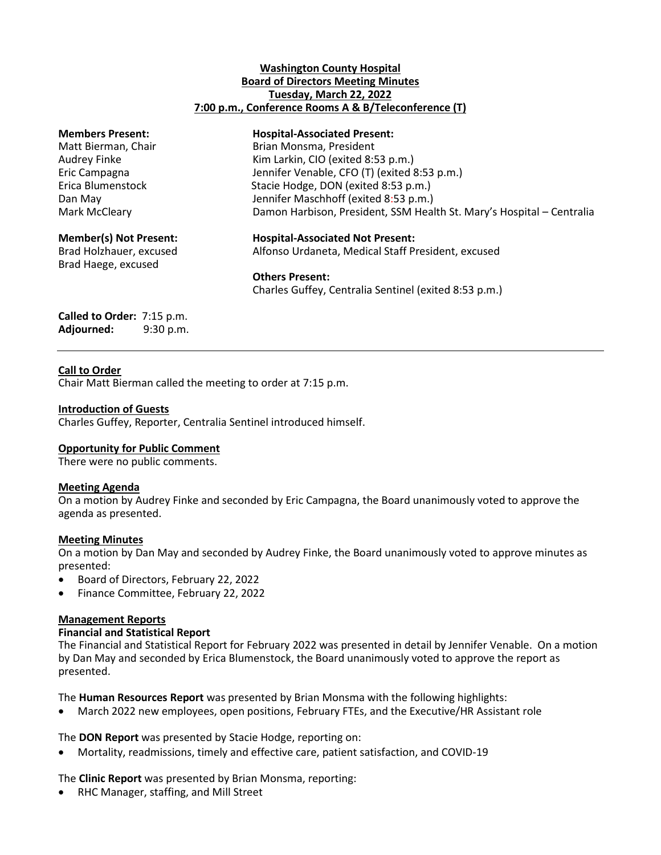## **Washington County Hospital Board of Directors Meeting Minutes Tuesday, March 22, 2022 7:00 p.m., Conference Rooms A & B/Teleconference (T)**

Brad Haege, excused

#### **Members Present: Hospital-Associated Present:**

Matt Bierman, Chair **Brian Montes** Brian Monsma, President Audrey Finke Kim Larkin, CIO (exited 8:53 p.m.) Eric Campagna Jennifer Venable, CFO (T) (exited 8:53 p.m.) Erica Blumenstock Stacie Hodge, DON (exited 8:53 p.m.) Dan May Jennifer Maschhoff (exited 8:53 p.m.) Mark McCleary **Damon Harbison, President, SSM Health St. Mary's Hospital – Centralia** 

**Member(s) Not Present: Hospital-Associated Not Present:** Brad Holzhauer, excused Alfonso Urdaneta, Medical Staff President, excused

## **Others Present:**

Charles Guffey, Centralia Sentinel (exited 8:53 p.m.)

## **Called to Order:** 7:15 p.m. **Adjourned:** 9:30 p.m.

# **Call to Order**

Chair Matt Bierman called the meeting to order at 7:15 p.m.

# **Introduction of Guests**

Charles Guffey, Reporter, Centralia Sentinel introduced himself.

# **Opportunity for Public Comment**

There were no public comments.

## **Meeting Agenda**

On a motion by Audrey Finke and seconded by Eric Campagna, the Board unanimously voted to approve the agenda as presented.

## **Meeting Minutes**

On a motion by Dan May and seconded by Audrey Finke, the Board unanimously voted to approve minutes as presented:

- Board of Directors, February 22, 2022
- Finance Committee, February 22, 2022

## **Management Reports**

## **Financial and Statistical Report**

The Financial and Statistical Report for February 2022 was presented in detail by Jennifer Venable. On a motion by Dan May and seconded by Erica Blumenstock, the Board unanimously voted to approve the report as presented.

The **Human Resources Report** was presented by Brian Monsma with the following highlights:

March 2022 new employees, open positions, February FTEs, and the Executive/HR Assistant role

The **DON Report** was presented by Stacie Hodge, reporting on:

Mortality, readmissions, timely and effective care, patient satisfaction, and COVID-19

The **Clinic Report** was presented by Brian Monsma, reporting:

RHC Manager, staffing, and Mill Street